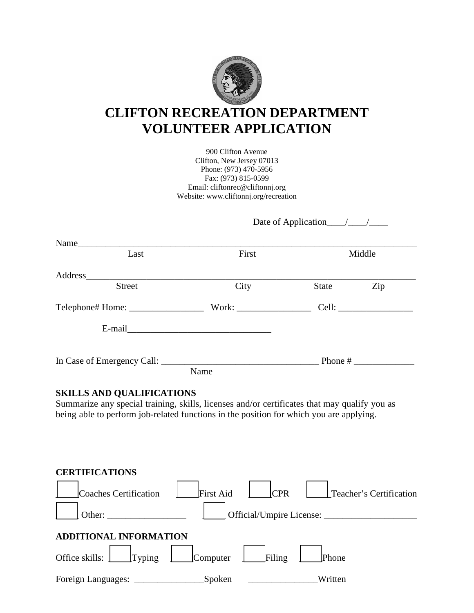

# **CLIFTON RECREATION DEPARTMENT VOLUNTEER APPLICATION**

900 Clifton Avenue Clifton, New Jersey 07013 Phone: (973) 470-5956 Fax: (973) 815-0599 Email: cliftonrec@cliftonnj.org Website: www.cliftonnj.org/recreation

Date of Application\_\_\_\_/\_\_\_\_/\_\_\_\_

| Name___       |                                                                                                                |       |        |  |
|---------------|----------------------------------------------------------------------------------------------------------------|-------|--------|--|
| Last          | First                                                                                                          |       | Middle |  |
|               |                                                                                                                |       |        |  |
| Address       |                                                                                                                |       |        |  |
| <b>Street</b> | City                                                                                                           | State | Zip    |  |
|               |                                                                                                                |       | Cell:  |  |
|               | E-mail explorer and the second services of the services of the services of the services of the services of the |       |        |  |
|               |                                                                                                                |       |        |  |
|               | Name                                                                                                           |       |        |  |

## **SKILLS AND QUALIFICATIONS**

Summarize any special training, skills, licenses and/or certificates that may qualify you as being able to perform job-related functions in the position for which you are applying.

| <b>CERTIFICATIONS</b>         |                                                                                                                                                                                                                                                                                                         |               |                          |
|-------------------------------|---------------------------------------------------------------------------------------------------------------------------------------------------------------------------------------------------------------------------------------------------------------------------------------------------------|---------------|--------------------------|
| Coaches Certification         |                                                                                                                                                                                                                                                                                                         | First Aid CPR | Teacher's Certification  |
| Other:                        |                                                                                                                                                                                                                                                                                                         |               | Official/Umpire License: |
| <b>ADDITIONAL INFORMATION</b> |                                                                                                                                                                                                                                                                                                         |               |                          |
| Office skills:  <br>Typing    | $\Big $ $\Big $ $\Big $ $\Big $ $\Big $ $\Big $ $\Big $ $\Big $ $\Big $ $\Big $ $\Big $ $\Big $ $\Big $ $\Big $ $\Big $ $\Big $ $\Big $ $\Big $ $\Big $ $\Big $ $\Big $ $\Big $ $\Big $ $\Big $ $\Big $ $\Big $ $\Big $ $\Big $ $\Big $ $\Big $ $\Big $ $\Big $ $\Big $ $\Big $ $\Big $ $\Big $ $\Big $ |               | Phone                    |
|                               |                                                                                                                                                                                                                                                                                                         |               | Written                  |